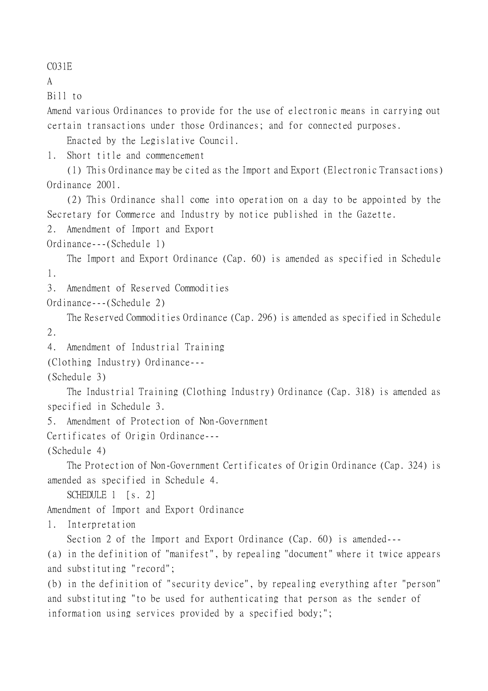C031E

A

Bill to

Amend various Ordinances to provide for the use of electronic means in carrying out certain transactions under those Ordinances; and for connected purposes.

Enacted by the Legislative Council.

1. Short title and commencement

(1) This Ordinance may be cited as the Import and Export (Electronic Transactions) Ordinance 2001.

(2) This Ordinance shall come into operation on a day to be appointed by the Secretary for Commerce and Industry by notice published in the Gazette.

2. Amendment of Import and Export

Ordinance---(Schedule 1)

The Import and Export Ordinance (Cap. 60) is amended as specified in Schedule 1.

3. Amendment of Reserved Commodities

Ordinance---(Schedule 2)

The Reserved Commodities Ordinance (Cap. 296) is amended as specified in Schedule 2.

```
4. Amendment of Industrial Training
```
(Clothing Industry) Ordinance---

(Schedule 3)

The Industrial Training (Clothing Industry) Ordinance (Cap. 318) is amended as specified in Schedule 3.

5. Amendment of Protection of Non-Government

Certificates of Origin Ordinance---

(Schedule 4)

The Protection of Non-Government Certificates of Origin Ordinance (Cap. 324) is amended as specified in Schedule 4.

SCHEDULE 1 [s. 2]

Amendment of Import and Export Ordinance

1. Interpretation

Section 2 of the Import and Export Ordinance (Cap. 60) is amended---

(a) in the definition of "manifest", by repealing "document" where it twice appears and substituting "record";

(b) in the definition of "security device", by repealing everything after "person" and substituting "to be used for authenticating that person as the sender of information using services provided by a specified body;";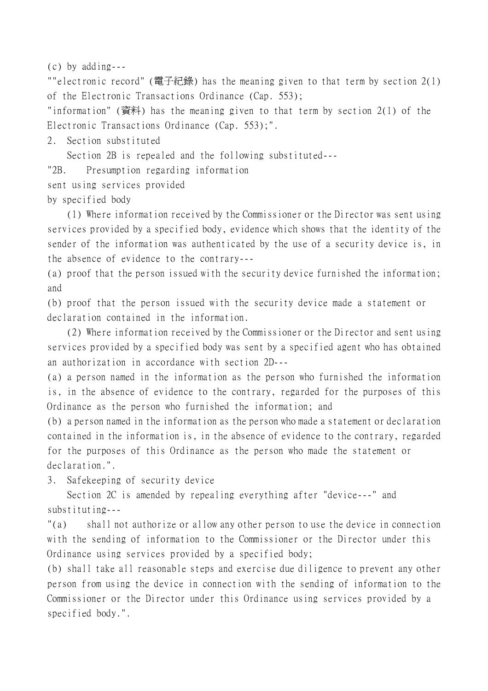(c) by adding---

""electronic record" (電子紀錄) has the meaning given to that term by section 2(1) of the Electronic Transactions Ordinance (Cap. 553);

"information" (資料) has the meaning given to that term by section 2(1) of the Electronic Transactions Ordinance (Cap. 553);".

2. Section substituted

Section 2B is repealed and the following substituted---

"2B. Presumption regarding information

sent using services provided

by specified body

(1) Where information received by the Commissioner or the Director was sent using services provided by a specified body, evidence which shows that the identity of the sender of the information was authenticated by the use of a security device is, in the absence of evidence to the contrary---

(a) proof that the person issued with the security device furnished the information; and

(b) proof that the person issued with the security device made a statement or declaration contained in the information.

(2) Where information received by the Commissioner or the Director and sent using services provided by a specified body was sent by a specified agent who has obtained an authorization in accordance with section 2D---

(a) a person named in the information as the person who furnished the information is, in the absence of evidence to the contrary, regarded for the purposes of this Ordinance as the person who furnished the information; and

(b) a person named in the information as the person who made a statement or declaration contained in the information is, in the absence of evidence to the contrary, regarded for the purposes of this Ordinance as the person who made the statement or declaration.".

3. Safekeeping of security device

Section 2C is amended by repealing everything after "device---" and substituting---

"(a) shall not authorize or allow any other person to use the device in connection with the sending of information to the Commissioner or the Director under this Ordinance using services provided by a specified body;

(b) shall take all reasonable steps and exercise due diligence to prevent any other person from using the device in connection with the sending of information to the Commissioner or the Director under this Ordinance using services provided by a specified body.".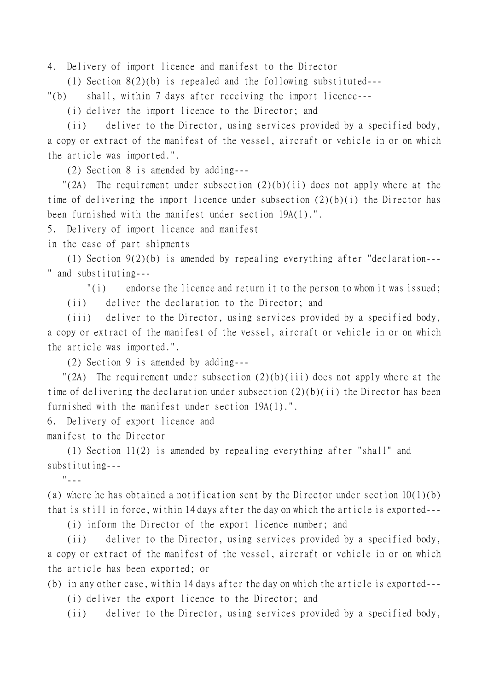4. Delivery of import licence and manifest to the Director

(1) Section 8(2)(b) is repealed and the following substituted---

"(b) shall, within 7 days after receiving the import licence---

(i) deliver the import licence to the Director; and

(ii) deliver to the Director, using services provided by a specified body, a copy or extract of the manifest of the vessel, aircraft or vehicle in or on which the article was imported.".

(2) Section 8 is amended by adding---

"(2A) The requirement under subsection  $(2)(b)(ii)$  does not apply where at the time of delivering the import licence under subsection (2)(b)(i) the Director has been furnished with the manifest under section 19A(1).".

5. Delivery of import licence and manifest

in the case of part shipments

(1) Section 9(2)(b) is amended by repealing everything after "declaration--- " and substituting---

 $\binom{n}{i}$  endorse the licence and return it to the person to whom it was issued;

(ii) deliver the declaration to the Director; and

(iii) deliver to the Director, using services provided by a specified body, a copy or extract of the manifest of the vessel, aircraft or vehicle in or on which the article was imported.".

(2) Section 9 is amended by adding---

"(2A) The requirement under subsection  $(2)(b)(iii)$  does not apply where at the time of delivering the declaration under subsection (2)(b)(ii) the Director has been furnished with the manifest under section 19A(1).".

6. Delivery of export licence and

manifest to the Director

(1) Section 11(2) is amended by repealing everything after "shall" and substituting---

"---

(a) where he has obtained a notification sent by the Director under section 10(1)(b) that is still in force, within 14 days after the day on which the article is exported---

(i) inform the Director of the export licence number; and

(ii) deliver to the Director, using services provided by a specified body, a copy or extract of the manifest of the vessel, aircraft or vehicle in or on which the article has been exported; or

(b) in any other case, within 14 days after the day on which the article is exported---

(i) deliver the export licence to the Director; and

(ii) deliver to the Director, using services provided by a specified body,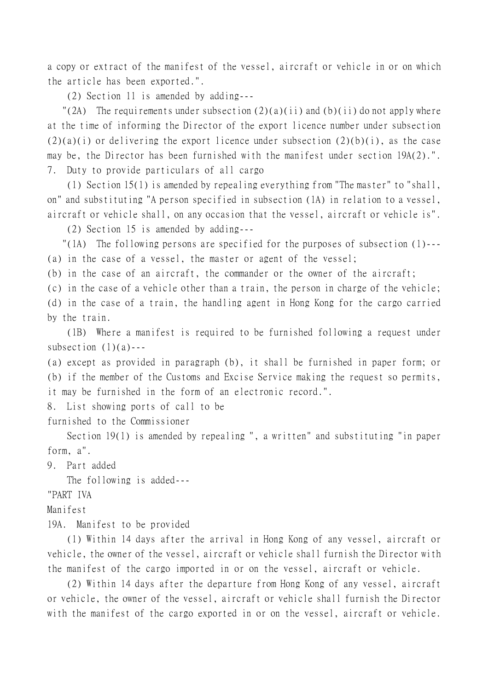a copy or extract of the manifest of the vessel, aircraft or vehicle in or on which the article has been exported.".

(2) Section 11 is amended by adding---

"(2A) The requirements under subsection  $(2)(a)(ii)$  and  $(b)(ii)$  do not apply where at the time of informing the Director of the export licence number under subsection  $(2)(a)(i)$  or delivering the export licence under subsection  $(2)(b)(i)$ , as the case may be, the Director has been furnished with the manifest under section 19A(2).". 7. Duty to provide particulars of all cargo

(1) Section 15(1) is amended by repealing everything from "The master" to "shall, on" and substituting "A person specified in subsection (1A) in relation to a vessel, aircraft or vehicle shall, on any occasion that the vessel, aircraft or vehicle is".

(2) Section 15 is amended by adding---

 "(1A) The following persons are specified for the purposes of subsection (1)--- (a) in the case of a vessel, the master or agent of the vessel;

(b) in the case of an aircraft, the commander or the owner of the aircraft;

(c) in the case of a vehicle other than a train, the person in charge of the vehicle;

(d) in the case of a train, the handling agent in Hong Kong for the cargo carried by the train.

(1B) Where a manifest is required to be furnished following a request under subsection  $(1)(a)$ ---

(a) except as provided in paragraph (b), it shall be furnished in paper form; or (b) if the member of the Customs and Excise Service making the request so permits, it may be furnished in the form of an electronic record.".

8. List showing ports of call to be

furnished to the Commissioner

Section 19(1) is amended by repealing ", a written" and substituting "in paper form, a".

9. Part added

The following is added---

"PART IVA

Manifest

19A. Manifest to be provided

(1) Within 14 days after the arrival in Hong Kong of any vessel, aircraft or vehicle, the owner of the vessel, aircraft or vehicle shall furnish the Director with the manifest of the cargo imported in or on the vessel, aircraft or vehicle.

(2) Within 14 days after the departure from Hong Kong of any vessel, aircraft or vehicle, the owner of the vessel, aircraft or vehicle shall furnish the Director with the manifest of the cargo exported in or on the vessel, aircraft or vehicle.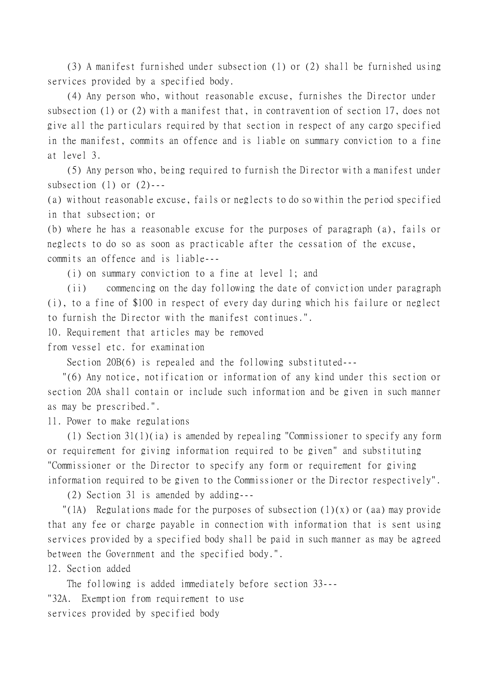(3) A manifest furnished under subsection (1) or (2) shall be furnished using services provided by a specified body.

(4) Any person who, without reasonable excuse, furnishes the Director under subsection (1) or (2) with a manifest that, in contravention of section 17, does not give all the particulars required by that section in respect of any cargo specified in the manifest, commits an offence and is liable on summary conviction to a fine at level 3.

(5) Any person who, being required to furnish the Director with a manifest under subsection  $(1)$  or  $(2)$ ---

(a) without reasonable excuse, fails or neglects to do so within the period specified in that subsection; or

(b) where he has a reasonable excuse for the purposes of paragraph (a), fails or neglects to do so as soon as practicable after the cessation of the excuse, commits an offence and is liable---

(i) on summary conviction to a fine at level 1; and

(ii) commencing on the day following the date of conviction under paragraph (i), to a fine of \$100 in respect of every day during which his failure or neglect to furnish the Director with the manifest continues.".

10. Requirement that articles may be removed

from vessel etc. for examination

Section 20B(6) is repealed and the following substituted---

 "(6) Any notice, notification or information of any kind under this section or section 20A shall contain or include such information and be given in such manner as may be prescribed.".

11. Power to make regulations

(1) Section 31(1)(ia) is amended by repealing "Commissioner to specify any form or requirement for giving information required to be given" and substituting "Commissioner or the Director to specify any form or requirement for giving information required to be given to the Commissioner or the Director respectively".

(2) Section 31 is amended by adding---

"(1A) Regulations made for the purposes of subsection  $(1)(x)$  or (aa) may provide that any fee or charge payable in connection with information that is sent using services provided by a specified body shall be paid in such manner as may be agreed between the Government and the specified body.".

12. Section added

The following is added immediately before section 33--- "32A. Exemption from requirement to use services provided by specified body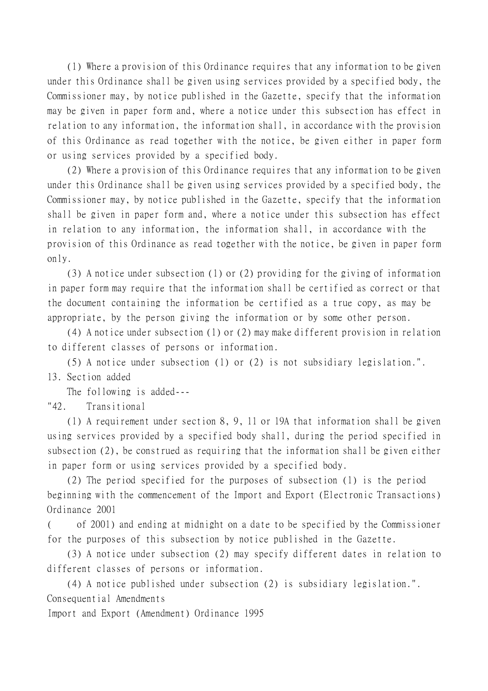(1) Where a provision of this Ordinance requires that any information to be given under this Ordinance shall be given using services provided by a specified body, the Commissioner may, by notice published in the Gazette, specify that the information may be given in paper form and, where a notice under this subsection has effect in relation to any information, the information shall, in accordance with the provision of this Ordinance as read together with the notice, be given either in paper form or using services provided by a specified body.

(2) Where a provision of this Ordinance requires that any information to be given under this Ordinance shall be given using services provided by a specified body, the Commissioner may, by notice published in the Gazette, specify that the information shall be given in paper form and, where a notice under this subsection has effect in relation to any information, the information shall, in accordance with the provision of this Ordinance as read together with the notice, be given in paper form only.

(3) A notice under subsection (1) or (2) providing for the giving of information in paper form may require that the information shall be certified as correct or that the document containing the information be certified as a true copy, as may be appropriate, by the person giving the information or by some other person.

(4) A notice under subsection (1) or (2) may make different provision in relation to different classes of persons or information.

(5) A notice under subsection (1) or (2) is not subsidiary legislation.". 13. Section added

The following is added---

"42. Transitional

(1) A requirement under section 8, 9, 11 or 19A that information shall be given using services provided by a specified body shall, during the period specified in subsection (2), be construed as requiring that the information shall be given either in paper form or using services provided by a specified body.

(2) The period specified for the purposes of subsection (1) is the period beginning with the commencement of the Import and Export (Electronic Transactions) Ordinance 2001

( of 2001) and ending at midnight on a date to be specified by the Commissioner for the purposes of this subsection by notice published in the Gazette.

(3) A notice under subsection (2) may specify different dates in relation to different classes of persons or information.

(4) A notice published under subsection (2) is subsidiary legislation.". Consequential Amendments

Import and Export (Amendment) Ordinance 1995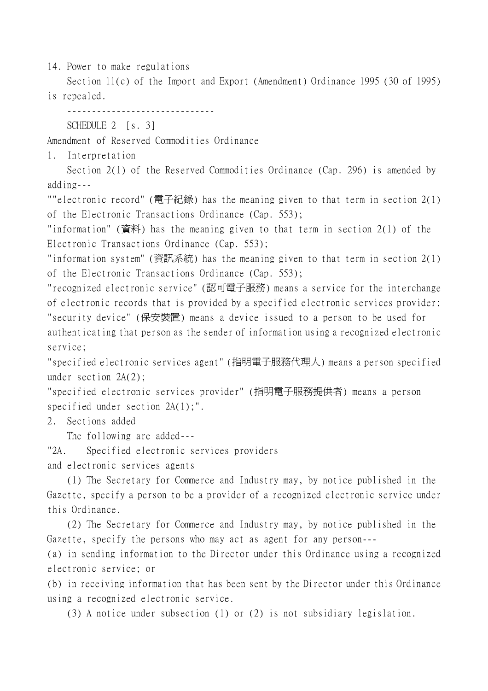14. Power to make regulations

Section 11(c) of the Import and Export (Amendment) Ordinance 1995 (30 of 1995) is repealed.

------------------------------

SCHEDULE 2 [s. 3]

Amendment of Reserved Commodities Ordinance

1. Interpretation

Section 2(1) of the Reserved Commodities Ordinance (Cap. 296) is amended by adding---

""electronic record" (電子紀錄) has the meaning given to that term in section 2(1) of the Electronic Transactions Ordinance (Cap. 553);

"information" (資料) has the meaning given to that term in section 2(1) of the Electronic Transactions Ordinance (Cap. 553);

"information system" (資訊系統) has the meaning given to that term in section 2(1) of the Electronic Transactions Ordinance (Cap. 553);

"recognized electronic service" (認可電子服務) means a service for the interchange of electronic records that is provided by a specified electronic services provider; "security device" (保安裝置) means a device issued to a person to be used for authenticating that person as the sender of information using a recognized electronic service;

"specified electronic services agent" (指明電子服務代理㆟) means a person specified under section 2A(2);

"specified electronic services provider" (指明電子服務提供者) means a person specified under section  $2A(1)$ ;".

2. Sections added

The following are added---

"2A. Specified electronic services providers

and electronic services agents

(1) The Secretary for Commerce and Industry may, by notice published in the Gazette, specify a person to be a provider of a recognized electronic service under this Ordinance.

(2) The Secretary for Commerce and Industry may, by notice published in the Gazette, specify the persons who may act as agent for any person---

(a) in sending information to the Director under this Ordinance using a recognized electronic service; or

(b) in receiving information that has been sent by the Director under this Ordinance using a recognized electronic service.

(3) A notice under subsection (1) or (2) is not subsidiary legislation.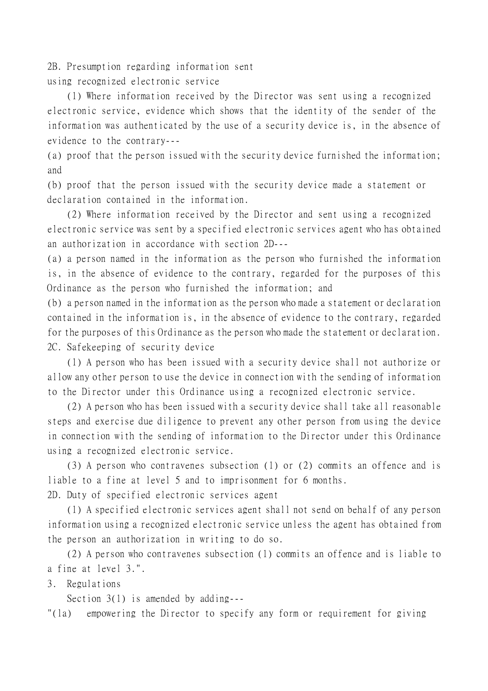2B. Presumption regarding information sent using recognized electronic service

(1) Where information received by the Director was sent using a recognized electronic service, evidence which shows that the identity of the sender of the information was authenticated by the use of a security device is, in the absence of evidence to the contrary---

(a) proof that the person issued with the security device furnished the information; and

(b) proof that the person issued with the security device made a statement or declaration contained in the information.

(2) Where information received by the Director and sent using a recognized electronic service was sent by a specified electronic services agent who has obtained an authorization in accordance with section 2D---

(a) a person named in the information as the person who furnished the information is, in the absence of evidence to the contrary, regarded for the purposes of this Ordinance as the person who furnished the information; and

(b) a person named in the information as the person who made a statement or declaration contained in the information is, in the absence of evidence to the contrary, regarded for the purposes of this Ordinance as the person who made the statement or declaration. 2C. Safekeeping of security device

(1) A person who has been issued with a security device shall not authorize or allow any other person to use the device in connection with the sending of information to the Director under this Ordinance using a recognized electronic service.

(2) A person who has been issued with a security device shall take all reasonable steps and exercise due diligence to prevent any other person from using the device in connection with the sending of information to the Director under this Ordinance using a recognized electronic service.

(3) A person who contravenes subsection (1) or (2) commits an offence and is liable to a fine at level 5 and to imprisonment for 6 months. 2D. Duty of specified electronic services agent

(1) A specified electronic services agent shall not send on behalf of any person information using a recognized electronic service unless the agent has obtained from the person an authorization in writing to do so.

(2) A person who contravenes subsection (1) commits an offence and is liable to a fine at level 3.".

3. Regulations

Section 3(1) is amended by adding---

"(la) empowering the Director to specify any form or requirement for giving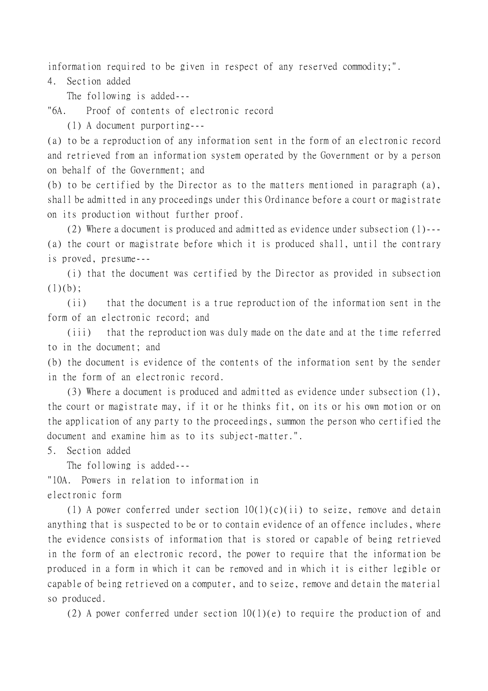information required to be given in respect of any reserved commodity;".

4. Section added

The following is added---

"6A. Proof of contents of electronic record

(1) A document purporting---

(a) to be a reproduction of any information sent in the form of an electronic record and retrieved from an information system operated by the Government or by a person on behalf of the Government; and

(b) to be certified by the Director as to the matters mentioned in paragraph (a), shall be admitted in any proceedings under this Ordinance before a court or magistrate on its production without further proof.

(2) Where a document is produced and admitted as evidence under subsection (1)--- (a) the court or magistrate before which it is produced shall, until the contrary is proved, presume---

(i) that the document was certified by the Director as provided in subsection  $(1)(b)$ ;

(ii) that the document is a true reproduction of the information sent in the form of an electronic record; and

(iii) that the reproduction was duly made on the date and at the time referred to in the document; and

(b) the document is evidence of the contents of the information sent by the sender in the form of an electronic record.

(3) Where a document is produced and admitted as evidence under subsection (1), the court or magistrate may, if it or he thinks fit, on its or his own motion or on the application of any party to the proceedings, summon the person who certified the document and examine him as to its subject-matter.".

5. Section added

The following is added---

"10A. Powers in relation to information in

electronic form

(1) A power conferred under section  $10(1)(c)(ii)$  to seize, remove and detain anything that is suspected to be or to contain evidence of an offence includes, where the evidence consists of information that is stored or capable of being retrieved in the form of an electronic record, the power to require that the information be produced in a form in which it can be removed and in which it is either legible or capable of being retrieved on a computer, and to seize, remove and detain the material so produced.

(2) A power conferred under section  $10(1)(e)$  to require the production of and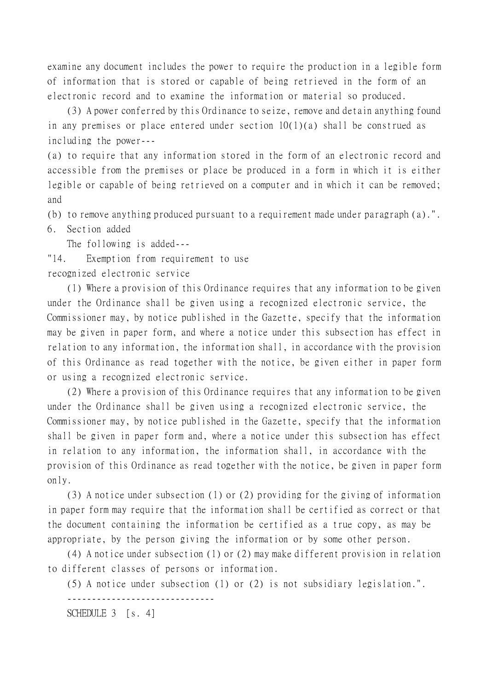examine any document includes the power to require the production in a legible form of information that is stored or capable of being retrieved in the form of an electronic record and to examine the information or material so produced.

(3) A power conferred by this Ordinance to seize, remove and detain anything found in any premises or place entered under section 10(1)(a) shall be construed as including the power---

(a) to require that any information stored in the form of an electronic record and accessible from the premises or place be produced in a form in which it is either legible or capable of being retrieved on a computer and in which it can be removed; and

(b) to remove anything produced pursuant to a requirement made under paragraph (a).".

6. Section added

The following is added---

"14. Exemption from requirement to use

recognized electronic service

(1) Where a provision of this Ordinance requires that any information to be given under the Ordinance shall be given using a recognized electronic service, the Commissioner may, by notice published in the Gazette, specify that the information may be given in paper form, and where a notice under this subsection has effect in relation to any information, the information shall, in accordance with the provision of this Ordinance as read together with the notice, be given either in paper form or using a recognized electronic service.

(2) Where a provision of this Ordinance requires that any information to be given under the Ordinance shall be given using a recognized electronic service, the Commissioner may, by notice published in the Gazette, specify that the information shall be given in paper form and, where a notice under this subsection has effect in relation to any information, the information shall, in accordance with the provision of this Ordinance as read together with the notice, be given in paper form only.

(3) A notice under subsection (1) or (2) providing for the giving of information in paper form may require that the information shall be certified as correct or that the document containing the information be certified as a true copy, as may be appropriate, by the person giving the information or by some other person.

(4) A notice under subsection (1) or (2) may make different provision in relation to different classes of persons or information.

(5) A notice under subsection (1) or (2) is not subsidiary legislation.".

------------------------------

SCHEDULE 3 [s. 4]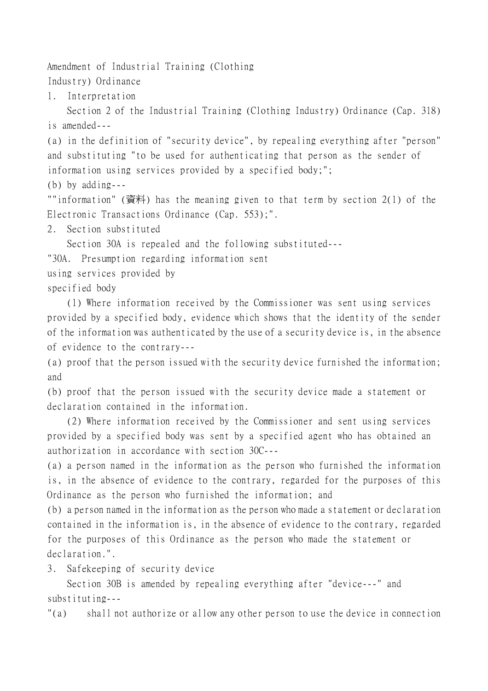Amendment of Industrial Training (Clothing

Industry) Ordinance

1. Interpretation

Section 2 of the Industrial Training (Clothing Industry) Ordinance (Cap. 318) is amended---

(a) in the definition of "security device", by repealing everything after "person" and substituting "to be used for authenticating that person as the sender of information using services provided by a specified body;";

(b) by adding---

""information" (資料) has the meaning given to that term by section 2(1) of the Electronic Transactions Ordinance (Cap. 553);".

2. Section substituted

Section 30A is repealed and the following substituted---

"30A. Presumption regarding information sent

using services provided by

specified body

(1) Where information received by the Commissioner was sent using services provided by a specified body, evidence which shows that the identity of the sender of the information was authenticated by the use of a security device is, in the absence of evidence to the contrary---

(a) proof that the person issued with the security device furnished the information; and

(b) proof that the person issued with the security device made a statement or declaration contained in the information.

(2) Where information received by the Commissioner and sent using services provided by a specified body was sent by a specified agent who has obtained an authorization in accordance with section 30C---

(a) a person named in the information as the person who furnished the information is, in the absence of evidence to the contrary, regarded for the purposes of this Ordinance as the person who furnished the information; and

(b) a person named in the information as the person who made a statement or declaration contained in the information is, in the absence of evidence to the contrary, regarded for the purposes of this Ordinance as the person who made the statement or declaration.".

3. Safekeeping of security device

Section 30B is amended by repealing everything after "device---" and substituting---

"(a) shall not authorize or allow any other person to use the device in connection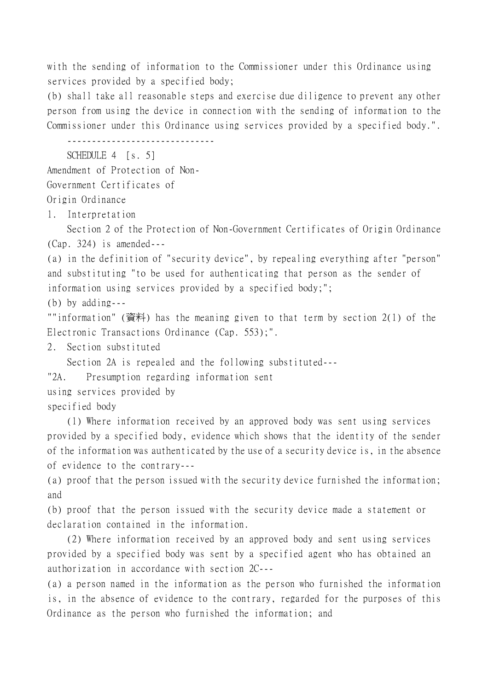with the sending of information to the Commissioner under this Ordinance using services provided by a specified body;

(b) shall take all reasonable steps and exercise due diligence to prevent any other person from using the device in connection with the sending of information to the Commissioner under this Ordinance using services provided by a specified body.".

------------------------------

SCHEDULE 4 [s. 5]

Amendment of Protection of Non-

Government Certificates of

Origin Ordinance

1. Interpretation

Section 2 of the Protection of Non-Government Certificates of Origin Ordinance (Cap. 324) is amended---

(a) in the definition of "security device", by repealing everything after "person" and substituting "to be used for authenticating that person as the sender of information using services provided by a specified body;";

(b) by adding---

""information" (資料) has the meaning given to that term by section 2(1) of the Electronic Transactions Ordinance (Cap. 553);".

2. Section substituted

Section 2A is repealed and the following substituted---

"2A. Presumption regarding information sent

using services provided by

specified body

(1) Where information received by an approved body was sent using services provided by a specified body, evidence which shows that the identity of the sender of the information was authenticated by the use of a security device is, in the absence of evidence to the contrary---

(a) proof that the person issued with the security device furnished the information; and

(b) proof that the person issued with the security device made a statement or declaration contained in the information.

(2) Where information received by an approved body and sent using services provided by a specified body was sent by a specified agent who has obtained an authorization in accordance with section 2C---

(a) a person named in the information as the person who furnished the information is, in the absence of evidence to the contrary, regarded for the purposes of this Ordinance as the person who furnished the information; and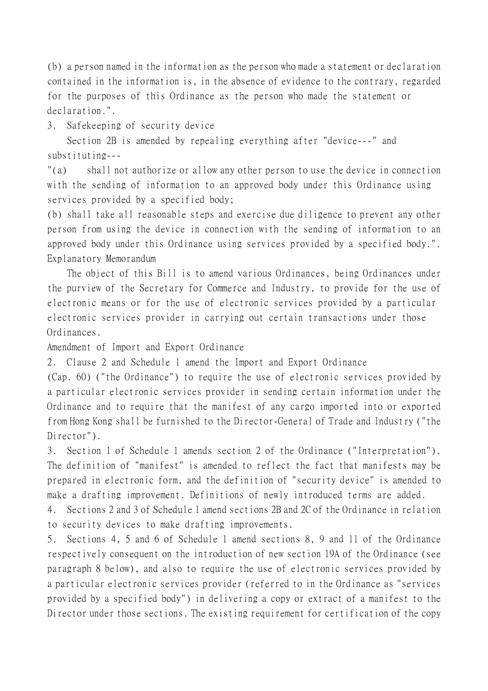(b) a person named in the information as the person who made a statement or declaration contained in the information is, in the absence of evidence to the contrary, regarded for the purposes of this Ordinance as the person who made the statement or declaration.".

3. Safekeeping of security device

Section 2B is amended by repealing everything after "device---" and substituting---

"(a) shall not authorize or allow any other person to use the device in connection with the sending of information to an approved body under this Ordinance using services provided by a specified body;

(b) shall take all reasonable steps and exercise due diligence to prevent any other person from using the device in connection with the sending of information to an approved body under this Ordinance using services provided by a specified body.". Explanatory Memorandum

The object of this Bill is to amend various Ordinances, being Ordinances under the purview of the Secretary for Commerce and Industry, to provide for the use of electronic means or for the use of electronic services provided by a particular electronic services provider in carrying out certain transactions under those Ordinances.

Amendment of Import and Export Ordinance

2. Clause 2 and Schedule 1 amend the Import and Export Ordinance

(Cap. 60) ("the Ordinance") to require the use of electronic services provided by a particular electronic services provider in sending certain information under the Ordinance and to require that the manifest of any cargo imported into or exported from Hong Kong shall be furnished to the Director-General of Trade and Industry ("the Director").

3. Section 1 of Schedule 1 amends section 2 of the Ordinance ("Interpretation"). The definition of "manifest" is amended to reflect the fact that manifests may be prepared in electronic form, and the definition of "security device" is amended to make a drafting improvement. Definitions of newly introduced terms are added.

4. Sections 2 and 3 of Schedule 1 amend sections 2B and 2C of the Ordinance in relation to security devices to make drafting improvements.

5. Sections 4, 5 and 6 of Schedule 1 amend sections 8, 9 and 11 of the Ordinance respectively consequent on the introduction of new section 19A of the Ordinance (see paragraph 8 below), and also to require the use of electronic services provided by a particular electronic services provider (referred to in the Ordinance as "services provided by a specified body") in delivering a copy or extract of a manifest to the Director under those sections. The existing requirement for certification of the copy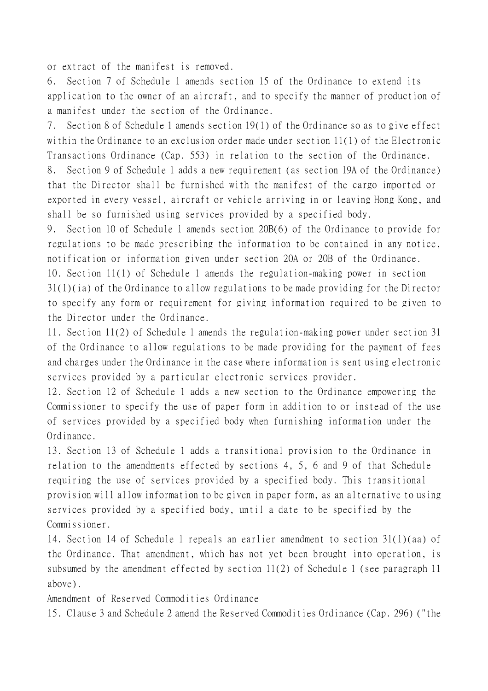or extract of the manifest is removed.

6. Section 7 of Schedule 1 amends section 15 of the Ordinance to extend its application to the owner of an aircraft, and to specify the manner of production of a manifest under the section of the Ordinance.

7. Section 8 of Schedule 1 amends section 19(1) of the Ordinance so as to give effect within the Ordinance to an exclusion order made under section 11(1) of the Electronic Transactions Ordinance (Cap. 553) in relation to the section of the Ordinance.

8. Section 9 of Schedule 1 adds a new requirement (as section 19A of the Ordinance) that the Director shall be furnished with the manifest of the cargo imported or exported in every vessel, aircraft or vehicle arriving in or leaving Hong Kong, and shall be so furnished using services provided by a specified body.

9. Section 10 of Schedule 1 amends section 20B(6) of the Ordinance to provide for regulations to be made prescribing the information to be contained in any notice, notification or information given under section 20A or 20B of the Ordinance.

10. Section 11(1) of Schedule 1 amends the regulation-making power in section 31(1)(ia) of the Ordinance to allow regulations to be made providing for the Director to specify any form or requirement for giving information required to be given to the Director under the Ordinance.

11. Section 11(2) of Schedule 1 amends the regulation-making power under section 31 of the Ordinance to allow regulations to be made providing for the payment of fees and charges under the Ordinance in the case where information is sent using electronic services provided by a particular electronic services provider.

12. Section 12 of Schedule 1 adds a new section to the Ordinance empowering the Commissioner to specify the use of paper form in addition to or instead of the use of services provided by a specified body when furnishing information under the Ordinance.

13. Section 13 of Schedule 1 adds a transitional provision to the Ordinance in relation to the amendments effected by sections 4, 5, 6 and 9 of that Schedule requiring the use of services provided by a specified body. This transitional provision will allow information to be given in paper form, as an alternative to using services provided by a specified body, until a date to be specified by the Commissioner.

14. Section 14 of Schedule 1 repeals an earlier amendment to section 31(1)(aa) of the Ordinance. That amendment, which has not yet been brought into operation, is subsumed by the amendment effected by section 11(2) of Schedule 1 (see paragraph 11 above).

Amendment of Reserved Commodities Ordinance

15. Clause 3 and Schedule 2 amend the Reserved Commodities Ordinance (Cap. 296) ("the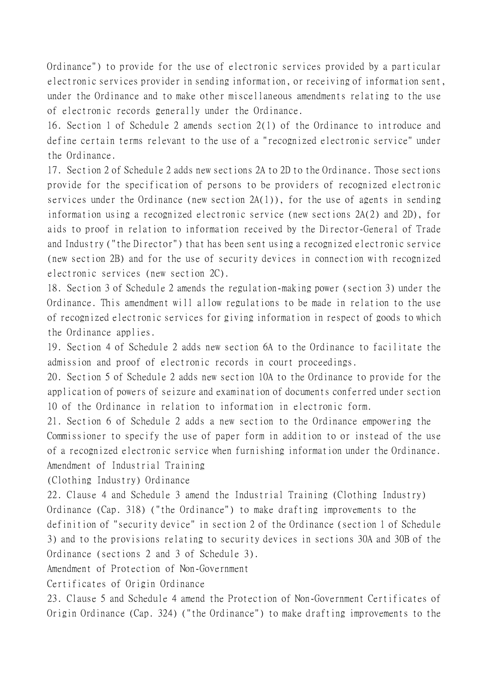Ordinance") to provide for the use of electronic services provided by a particular electronic services provider in sending information, or receiving of information sent, under the Ordinance and to make other miscellaneous amendments relating to the use of electronic records generally under the Ordinance.

16. Section 1 of Schedule 2 amends section 2(1) of the Ordinance to introduce and define certain terms relevant to the use of a "recognized electronic service" under the Ordinance.

17. Section 2 of Schedule 2 adds new sections 2A to 2D to the Ordinance. Those sections provide for the specification of persons to be providers of recognized electronic services under the Ordinance (new section 2A(1)), for the use of agents in sending information using a recognized electronic service (new sections 2A(2) and 2D), for aids to proof in relation to information received by the Director-General of Trade and Industry ("the Director") that has been sent using a recognized electronic service (new section 2B) and for the use of security devices in connection with recognized electronic services (new section 2C).

18. Section 3 of Schedule 2 amends the regulation-making power (section 3) under the Ordinance. This amendment will allow regulations to be made in relation to the use of recognized electronic services for giving information in respect of goods to which the Ordinance applies.

19. Section 4 of Schedule 2 adds new section 6A to the Ordinance to facilitate the admission and proof of electronic records in court proceedings.

20. Section 5 of Schedule 2 adds new section 10A to the Ordinance to provide for the application of powers of seizure and examination of documents conferred under section 10 of the Ordinance in relation to information in electronic form.

21. Section 6 of Schedule 2 adds a new section to the Ordinance empowering the Commissioner to specify the use of paper form in addition to or instead of the use of a recognized electronic service when furnishing information under the Ordinance. Amendment of Industrial Training

(Clothing Industry) Ordinance

22. Clause 4 and Schedule 3 amend the Industrial Training (Clothing Industry) Ordinance (Cap. 318) ("the Ordinance") to make drafting improvements to the definition of "security device" in section 2 of the Ordinance (section 1 of Schedule 3) and to the provisions relating to security devices in sections 30A and 30B of the Ordinance (sections 2 and 3 of Schedule 3).

Amendment of Protection of Non-Government

Certificates of Origin Ordinance

23. Clause 5 and Schedule 4 amend the Protection of Non-Government Certificates of Origin Ordinance (Cap. 324) ("the Ordinance") to make drafting improvements to the